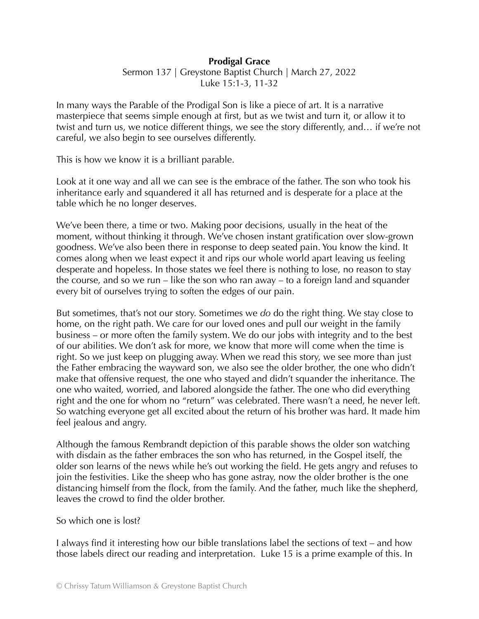## **Prodigal Grace**

Sermon 137 | Greystone Baptist Church | March 27, 2022 Luke 15:1-3, 11-32

In many ways the Parable of the Prodigal Son is like a piece of art. It is a narrative masterpiece that seems simple enough at first, but as we twist and turn it, or allow it to twist and turn us, we notice different things, we see the story differently, and… if we're not careful, we also begin to see ourselves differently.

This is how we know it is a brilliant parable.

Look at it one way and all we can see is the embrace of the father. The son who took his inheritance early and squandered it all has returned and is desperate for a place at the table which he no longer deserves.

We've been there, a time or two. Making poor decisions, usually in the heat of the moment, without thinking it through. We've chosen instant gratification over slow-grown goodness. We've also been there in response to deep seated pain. You know the kind. It comes along when we least expect it and rips our whole world apart leaving us feeling desperate and hopeless. In those states we feel there is nothing to lose, no reason to stay the course, and so we run – like the son who ran away – to a foreign land and squander every bit of ourselves trying to soften the edges of our pain.

But sometimes, that's not our story. Sometimes we *do* do the right thing. We stay close to home, on the right path. We care for our loved ones and pull our weight in the family business – or more often the family system. We do our jobs with integrity and to the best of our abilities. We don't ask for more, we know that more will come when the time is right. So we just keep on plugging away. When we read this story, we see more than just the Father embracing the wayward son, we also see the older brother, the one who didn't make that offensive request, the one who stayed and didn't squander the inheritance. The one who waited, worried, and labored alongside the father. The one who did everything right and the one for whom no "return" was celebrated. There wasn't a need, he never left. So watching everyone get all excited about the return of his brother was hard. It made him feel jealous and angry.

Although the famous Rembrandt depiction of this parable shows the older son watching with disdain as the father embraces the son who has returned, in the Gospel itself, the older son learns of the news while he's out working the field. He gets angry and refuses to join the festivities. Like the sheep who has gone astray, now the older brother is the one distancing himself from the flock, from the family. And the father, much like the shepherd, leaves the crowd to find the older brother.

## So which one is lost?

I always find it interesting how our bible translations label the sections of text – and how those labels direct our reading and interpretation. Luke 15 is a prime example of this. In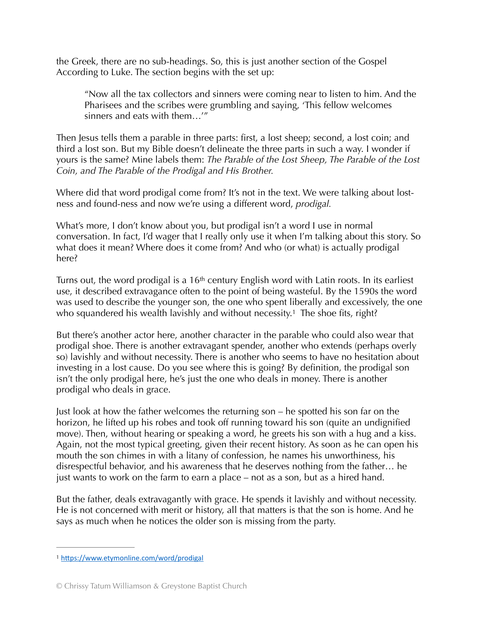the Greek, there are no sub-headings. So, this is just another section of the Gospel According to Luke. The section begins with the set up:

"Now all the tax collectors and sinners were coming near to listen to him. And the Pharisees and the scribes were grumbling and saying, 'This fellow welcomes sinners and eats with them…'"

Then Jesus tells them a parable in three parts: first, a lost sheep; second, a lost coin; and third a lost son. But my Bible doesn't delineate the three parts in such a way. I wonder if yours is the same? Mine labels them: *The Parable of the Lost Sheep, The Parable of the Lost Coin, and The Parable of the Prodigal and His Brother.*

Where did that word prodigal come from? It's not in the text. We were talking about lostness and found-ness and now we're using a different word, *prodigal.*

What's more, I don't know about you, but prodigal isn't a word I use in normal conversation. In fact, I'd wager that I really only use it when I'm talking about this story. So what does it mean? Where does it come from? And who (or what) is actually prodigal here?

Turns out, the word prodigal is a 16<sup>th</sup> century English word with Latin roots. In its earliest use, it described extravagance often to the point of being wasteful. By the 1590s the word was used to describe the younger son, the one who spent liberally and excessively, the one who squandered his wealth lavishly and without necessity.<sup>[1](#page-1-0)</sup> The shoe fits, right?

<span id="page-1-1"></span>But there's another actor here, another character in the parable who could also wear that prodigal shoe. There is another extravagant spender, another who extends (perhaps overly so) lavishly and without necessity. There is another who seems to have no hesitation about investing in a lost cause. Do you see where this is going? By definition, the prodigal son isn't the only prodigal here, he's just the one who deals in money. There is another prodigal who deals in grace.

Just look at how the father welcomes the returning son – he spotted his son far on the horizon, he lifted up his robes and took off running toward his son (quite an undignified move). Then, without hearing or speaking a word, he greets his son with a hug and a kiss. Again, not the most typical greeting, given their recent history. As soon as he can open his mouth the son chimes in with a litany of confession, he names his unworthiness, his disrespectful behavior, and his awareness that he deserves nothing from the father… he just wants to work on the farm to earn a place – not as a son, but as a hired hand.

But the father, deals extravagantly with grace. He spends it lavishly and without necessity. He is not concerned with merit or history, all that matters is that the son is home. And he says as much when he notices the older son is missing from the party.

<span id="page-1-0"></span><sup>&</sup>lt;sup>[1](#page-1-1)</sup> https://www.etymonline.com/word/prodigal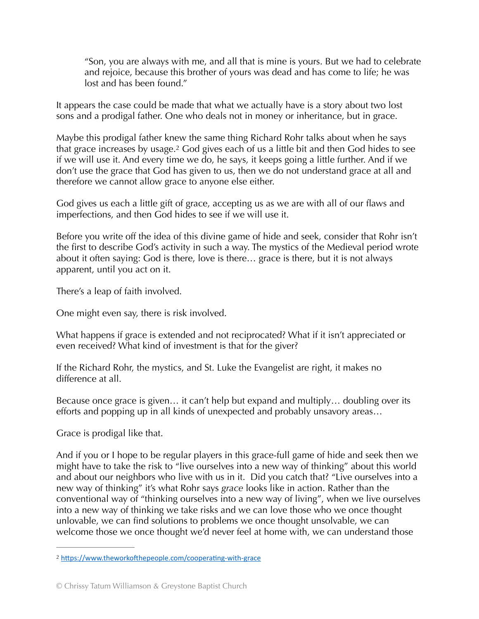"Son, you are always with me, and all that is mine is yours. But we had to celebrate and rejoice, because this brother of yours was dead and has come to life; he was lost and has been found."

It appears the case could be made that what we actually have is a story about two lost sons and a prodigal father. One who deals not in money or inheritance, but in grace.

<span id="page-2-1"></span>Maybe this prodigal father knew the same thing Richard Rohr talks about when he says that grace increases by usage[.](#page-2-0)<sup>[2](#page-2-0)</sup> God gives each of us a little bit and then God hides to see if we will use it. And every time we do, he says, it keeps going a little further. And if we don't use the grace that God has given to us, then we do not understand grace at all and therefore we cannot allow grace to anyone else either.

God gives us each a little gift of grace, accepting us as we are with all of our flaws and imperfections, and then God hides to see if we will use it.

Before you write off the idea of this divine game of hide and seek, consider that Rohr isn't the first to describe God's activity in such a way. The mystics of the Medieval period wrote about it often saying: God is there, love is there… grace is there, but it is not always apparent, until you act on it.

There's a leap of faith involved.

One might even say, there is risk involved.

What happens if grace is extended and not reciprocated? What if it isn't appreciated or even received? What kind of investment is that for the giver?

If the Richard Rohr, the mystics, and St. Luke the Evangelist are right, it makes no difference at all.

Because once grace is given… it can't help but expand and multiply… doubling over its efforts and popping up in all kinds of unexpected and probably unsavory areas…

Grace is prodigal like that.

And if you or I hope to be regular players in this grace-full game of hide and seek then we might have to take the risk to "live ourselves into a new way of thinking" about this world and about our neighbors who live with us in it. Did you catch that? "Live ourselves into a new way of thinking" it's what Rohr says *grace* looks like in action. Rather than the conventional way of "thinking ourselves into a new way of living", when we live ourselves into a new way of thinking we take risks and we can love those who we once thought unlovable, we can find solutions to problems we once thought unsolvable, we can welcome those we once thought we'd never feel at home with, we can understand those

<span id="page-2-0"></span><sup>&</sup>lt;sup>[2](#page-2-1)</sup> https://www.theworkofthepeople.com/cooperating-with-grace